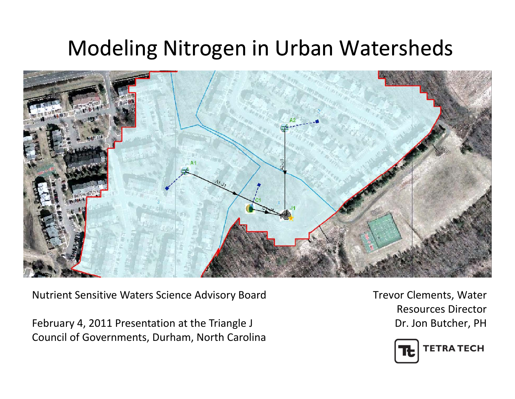#### Modeling Nitrogen in Urban Watersheds



Nutrient Sensitive Waters Science Advisory Board

February 4, 2011 Presentation at the Triangle J Council of Governments, Durham, North Carolina Trevor Clements, Water Resources Director Dr. Jon Butcher, PH

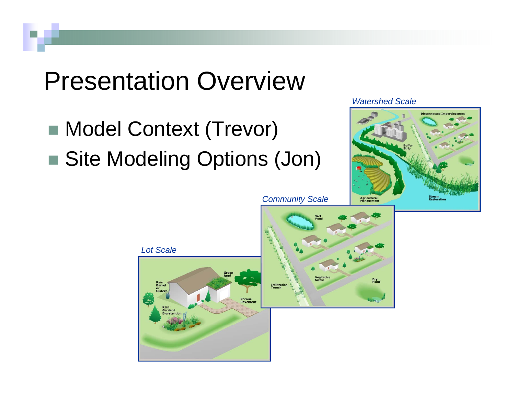#### Presentation Overview

■ Model Context (Trevor) ■ Site Modeling Options (Jon) *Watershed Scale*



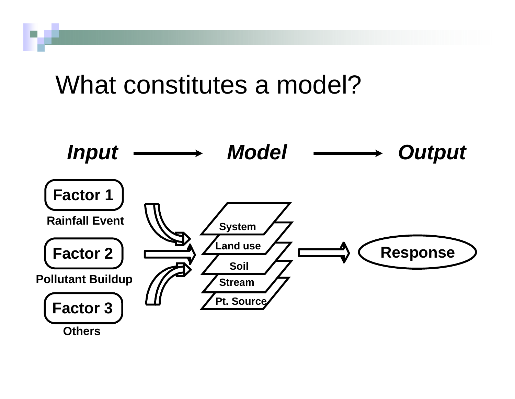#### What constitutes a model?



**Others**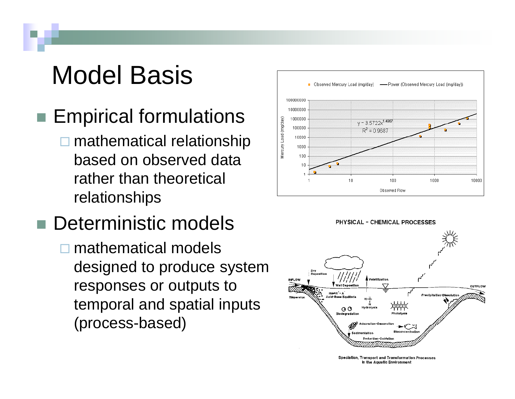## Model Basis

- $\blacksquare$  Empirical formulations
	- **□** mathematical relationship based on observed data rather than theoretical relationships

#### ■ Deterministic models **□** mathematical models designed to produce system responses or outputs to temporal and spatial inputs (process -based)





Speciation, Transport and Transformation Processes in the Aquatic Environment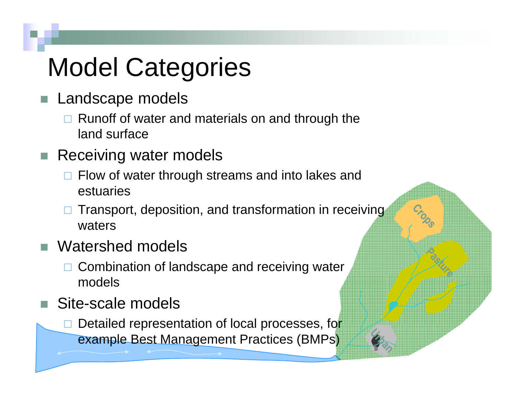# Model Categories

- Landscape models
	- □ Runoff of water and materials on and through the land surface
- П Receiving water models
	- $\Box$  Flow of water through streams and into lakes and estuaries
	- $\Box$  Transport, deposition, and transformation in receiving waters
- П Watershed models
	- □ Combination of landscape and receiving water models
- Site-scale models
	- $\Box$ Detailed representation of local processes, for example Best Management Practices (BMPs)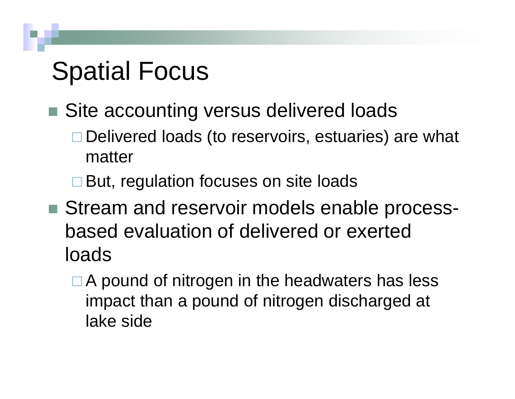## Spatial Focus

- Site accounting versus delivered loads
	- □ Delivered loads (to reservoirs, estuaries) are what matter
	- **□ But, regulation focuses on site loads**
- Stream and reservoir models enable processbased evaluation of delivered or exerted loads
	- $\Box$  A pound of nitrogen in the headwaters has less impact than a pound of nitrogen discharged at lake side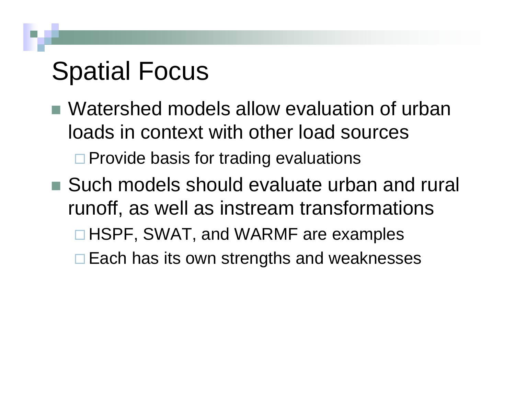## Spatial Focus

- Watershed models allow evaluation of urban loads in context with other load sources□ Provide basis for trading evaluations
- Such models should evaluate urban and rural runoff, as well as instream transformations □ HSPF, SWAT, and WARMF are examples **□ Each has its own strengths and weaknesses**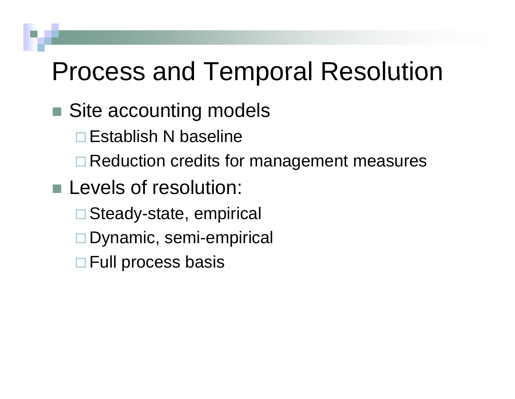#### Process and Temporal Resolution

#### ■ Site accounting models

 $\Box$ Establish N baseline

**□ Reduction credits for management measures** 

- **Levels of resolution:** 
	- $\Box$ Steady-state, empirical
	- $\Box$ Dynamic, semi-empirical
	- **□ Full process basis**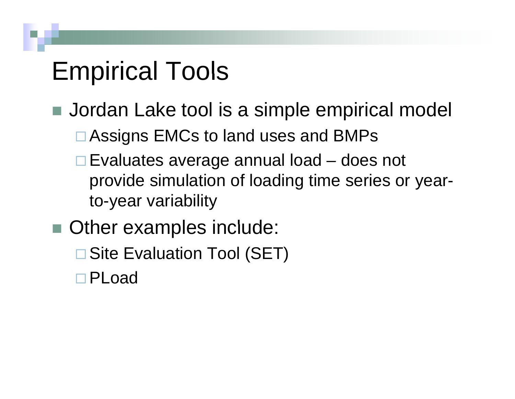## Empirical Tools

- Jordan Lake tool is a simple empirical model
	- □ Assigns EMCs to land uses and BMPs
	- **□ Evaluates average annual load does not** provide simulation o f loading time series or yea r to-year variability
- Other examples include:
	- $\Box$ Site Evaluation Tool (SET)
	- PLoad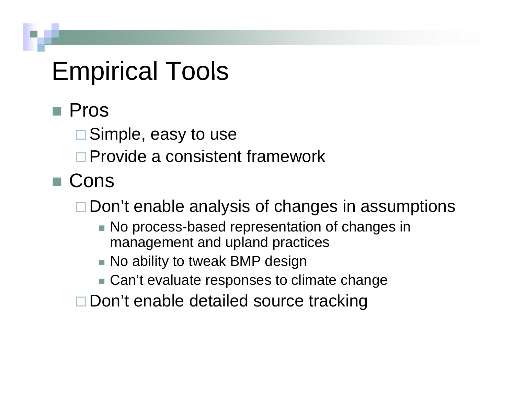#### Empirical Tools

- Pros
	- **□ Simple, easy to use**
	- □ Provide a consistent framework
- Cons

□ Don't enable analysis of changes in assumptions

- $\blacksquare$  No process-based representation of changes in management and upland practices
- $\blacksquare$  No ability to tweak BMP design
- Can't evaluate responses to climate change
- □ Don't enable detailed source tracking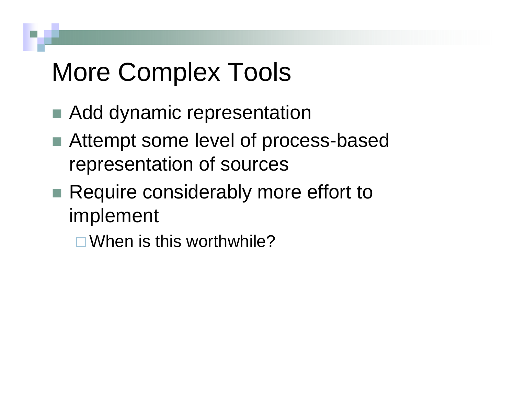## More Complex Tools

- Add dynamic representation
- Attempt some level of process-based re presentation of sources
- Require considerably more effort to im plement
	- □ When is this worthwhile?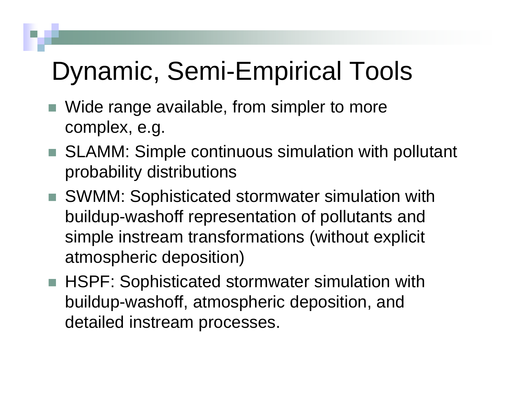## Dynamic, Semi-Empirical Tools

- Wide range available, from simpler to more complex, e.g.
- SLAMM: Simple continuous simulation with pollutant probability distributions
- SWMM: Sophisticated stormwater simulation with buildup-washoff representation of pollutants and simple instream transformations (without explicit atmospheric deposition)
- HSPF: Sophisticated stormwater simulation with buildup-washoff, atmospheric deposition, and detailed instream processes.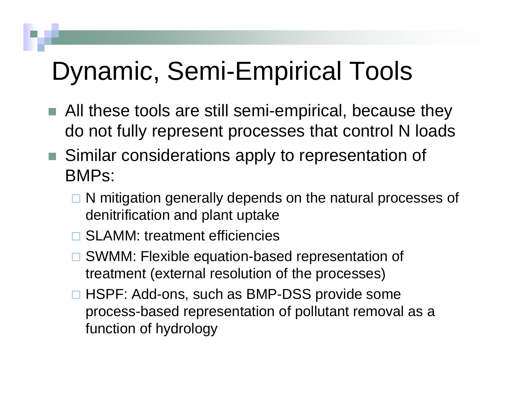## Dynamic, Semi-Empirical Tools

- All these tools are still semi-empirical, because they do not fully represent processes that control N loads
- Similar considerations apply to representation of BMPs:
	- □ N mitigation generally depends on the natural processes of denitrification and plant uptake
	- □ SLAMM: treatment efficiencies
	- □ SWMM: Flexible equation-based representation of treatment (external resolution of the processes)
	- □ HSPF: Add-ons, such as BMP-DSS provide some process-based representation of pollutant removal as a function of hydrology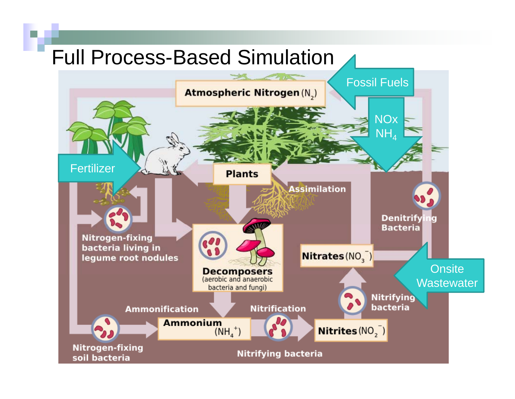#### Full Process-Based Simulation

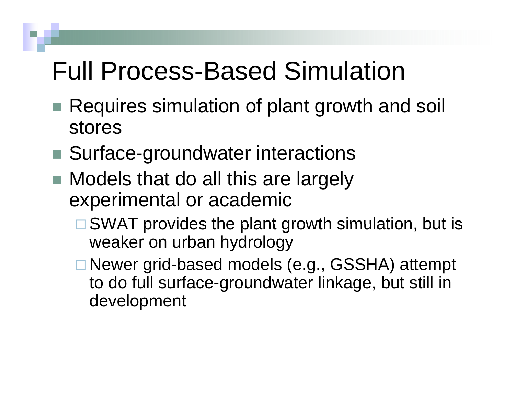### **Full Process-Based Simulation**

- Requires simulation of plant growth and soil stores
- Surface-groundwater interactions
- $\blacksquare$  Models that do all this are largely experimental or academic
	- $\square$  SWAT provides the plant growth simulation, but is weaker on urban hydrology
	- Newer grid-based models (e.g., GSSHA) attempt to do full surface-groundwater linkage, but still in development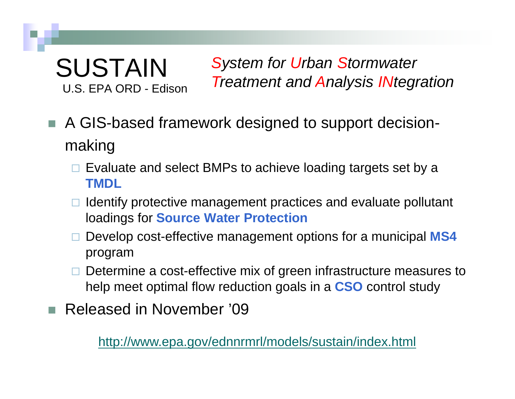#### SUSTAINU.S. EPA ORD - Edison

*System for Urban Stormwater* 

- U.S. EPA ORD Edison *Treatment and Analysis INtegration*<br>A GIS-based framework designed to support decisionmaking
	- $\square$  Evaluate and select BMPs to achieve loading targets set by a **TMDL**
	- $\Box$  Identify protective management practices and evaluate pollutant loadings for **Source Water Protection**
	- Develop cost-effective management options for a municipal **MS4** program
	- $\Box$  Determine a cost-effective mix of green infrastructure measures to help meet optimal flow reduction goals in a **CSO** control study
- Released in November '09

http://www.epa.gov/ednnrmrl/models/sustain/index.html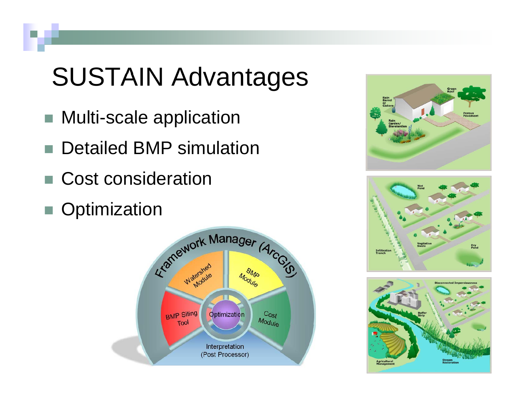# **SUSTAIN Advantages**

- Multi-scale application
- Detailed BMP simulation
- Cost consideration
- Optimization







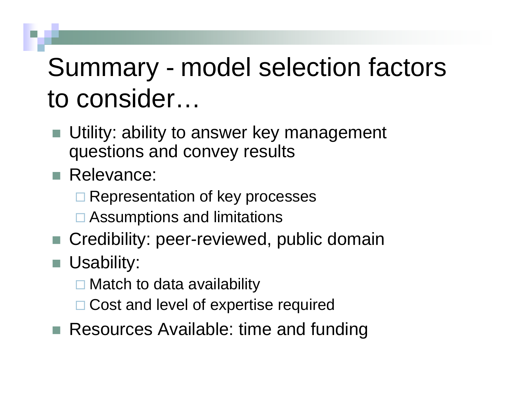# Summary - model selection factors to consider…

- Utility: ability to answer key management questions and convey results
- Relevance:
	- **□ Representation of key processes**
	- **□ Assumptions and limitations**
- Credibility: peer-reviewed, public domain
- Usability:
	- **□ Match to data availability**
	- □ Cost and level of expertise required
- $\blacksquare$  Resources Available: time and funding